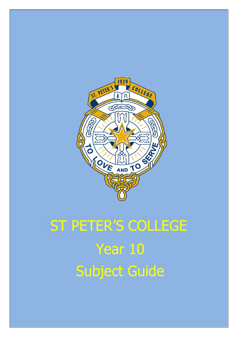

# Year 10 Subject Guide ST PETER'S COLLEGE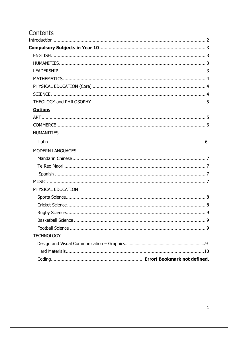# Contents

<span id="page-1-0"></span>

| <b>Options</b>          |  |
|-------------------------|--|
|                         |  |
|                         |  |
| <b>HUMANITIES</b>       |  |
|                         |  |
| <b>MODERN LANGUAGES</b> |  |
|                         |  |
|                         |  |
|                         |  |
|                         |  |
| PHYSICAL EDUCATION      |  |
|                         |  |
|                         |  |
|                         |  |
|                         |  |
|                         |  |
| <b>TECHNOLOGY</b>       |  |
|                         |  |
|                         |  |
|                         |  |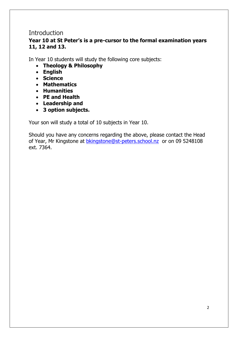# **Introduction**

### **Year 10 at St Peter's is a pre-cursor to the formal examination years 11, 12 and 13.**

In Year 10 students will study the following core subjects:

- **Theology & Philosophy**
- **English**
- **Science**
- **Mathematics**
- **Humanities**
- **PE and Health**
- **Leadership and**
- **3 option subjects.**

Your son will study a total of 10 subjects in Year 10.

Should you have any concerns regarding the above, please contact the Head of Year, Mr Kingstone at **bkingstone@st-peters.school.nz** or on 09 5248108 ext. 7364.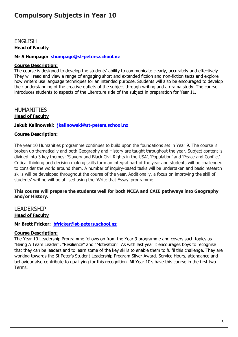#### <span id="page-3-1"></span><span id="page-3-0"></span>ENGLISH **Head of Faculty**

#### **Mr S Humpage: [shumpage@st-peters.school.nz](mailto:shumpage@st-peters.school.nz)**

#### **Course Description:**

The course is designed to develop the students' ability to communicate clearly, accurately and effectively. They will read and view a range of engaging short and extended fiction and non-fiction texts and explore how writers use language techniques for an intended purpose. Students will also be encouraged to develop their understanding of the creative outlets of the subject through writing and a drama study. The course introduces students to aspects of the Literature side of the subject in preparation for Year 11.

<span id="page-3-2"></span>HUMANITIES

**Head of Faculty**

**Jakub Kalinowski: [jkalinowski@st-peters.school.nz](mailto:jkalinowski@st-peters.school.nz)**

#### **Course Description:**

The year 10 Humanities programme continues to build upon the foundations set in Year 9. The course is broken up thematically and both Geography and History are taught throughout the year. Subject content is divided into 3 key themes: 'Slavery and Black Civil Rights in the USA', 'Population' and 'Peace and Conflict'. Critical thinking and decision making skills form an integral part of the year and students will be challenged to consider the world around them. A number of inquiry-based tasks will be undertaken and basic research skills will be developed throughout the course of the year. Additionally, a focus on improving the skill of students' writing will be utilised using the 'Write that Essay' programme.

#### **This course will prepare the students well for both NCEA and CAIE pathways into Geography and/or History.**

#### <span id="page-3-3"></span>LEADERSHIP

#### **Head of Faculty**

**Mr Brett Fricker: [bfricker@st-peters.school.nz](mailto:bfricker@st-peters.school.nz)**

#### **Course Description:**

<span id="page-3-4"></span>The Year 10 Leadership Programme follows on from the Year 9 programme and covers such topics as "Being A Team Leader", "Resilience" and "Motivation". As with last year it encourages boys to recognise that they can be leaders and to learn some of the key skills to enable them to fulfil this challenge. They are working towards the St Peter's Student Leadership Program Silver Award. Service Hours, attendance and behaviour also contribute to qualifying for this recognition. All Year 10's have this course in the first two Terms.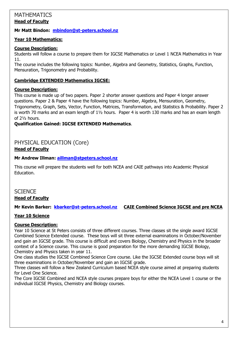#### **MATHEMATICS Head of Faculty**

#### **Mr Matt Bindon: [mbindon@st-peters.school.nz](mailto:mbindon@st-peters.school.nz)**

#### **Year 10 Mathematics:**

#### **Course Description:**

Students will follow a course to prepare them for IGCSE Mathematics or Level 1 NCEA Mathematics in Year 11.

The course includes the following topics: Number, Algebra and Geometry, Statistics, Graphs, Function, Mensuration, Trigonometry and Probability.

#### **Cambridge EXTENDED Mathematics IGCSE:**

#### **Course Description:**

This course is made up of two papers. Paper 2 shorter answer questions and Paper 4 longer answer questions. Paper 2 & Paper 4 have the following topics: Number, Algebra, Mensuration, Geometry, Trigonometry, Graph, Sets, Vector, Function, Matrices, Transformation, and Statistics & Probability. Paper 2 is worth 70 marks and an exam length of  $1\frac{1}{2}$  hours. Paper 4 is worth 130 marks and has an exam length of 2½ hours.

#### **Qualification Gained: IGCSE EXTENDED Mathematics**.

#### <span id="page-4-0"></span>PHYSICAL EDUCATION (Core) **Head of Faculty**

#### **Mr Andrew Illman: [aillman@stpeters.school.nz](mailto:aillman@stpeters.school.nz)**

This course will prepare the students well for both NCEA and CAIE pathways into Academic Physical Education.

#### <span id="page-4-1"></span>**SCIENCE Head of Faculty**

**Mr Kevin Barker: [kbarker@st-peters.school.nz](mailto:kbarker@st-peters.school.nz) CAIE Combined Science IGCSE and pre NCEA** 

#### **Year 10 Science**

#### **Course Description:**

Year 10 Science at St Peters consists of three different courses. Three classes sit the single award IGCSE Combined Science Extended course. These boys will sit three external examinations in October/November and gain an IGCSE grade. This course is difficult and covers Biology, Chemistry and Physics in the broader context of a Science course. This course is good preparation for the more demanding IGCSE Biology, Chemistry and Physics taken in year 11.

One class studies the IGCSE Combined Science Core course. Like the IGCSE Extended course boys will sit three examinations in October/November and gain an IGCSE grade.

Three classes will follow a New Zealand Curriculum based NCEA style course aimed at preparing students for Level One Science.

The Core IGCSE Combined and NCEA style courses prepare boys for either the NCEA Level 1 course or the individual IGCSE Physics, Chemistry and Biology courses.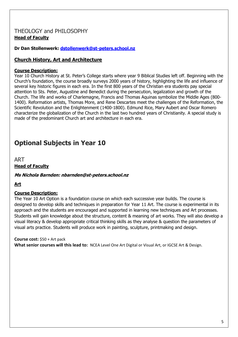#### THEOLOGY and PHILOSOPHY **Head of Faculty**

**Dr Dan Stollenwerk: [dstollenwerk@st-peters.school.nz](mailto:dstollenwerk@st-peters.school.nz)**

#### **Church History, Art and Architecture**

#### **Course Description:**

Year 10 Church History at St. Peter's College starts where year 9 Biblical Studies left off. Beginning with the Church's foundation, the course broadly surveys 2000 years of history, highlighting the life and influence of several key historic figures in each era. In the first 800 years of the Christian era students pay special attention to Sts. Peter, Augustine and Benedict during the persecution, legalization and growth of the Church. The life and works of Charlemagne, Francis and Thomas Aquinas symbolize the Middle Ages (800- 1400). Reformation artists, Thomas More, and Rene Descartes meet the challenges of the Reformation, the Scientific Revolution and the Enlightenment (1400-1800). Edmund Rice, Mary Aubert and Oscar Romero characterize the globalization of the Church in the last two hundred years of Christianity. A special study is made of the predominant Church art and architecture in each era.

# <span id="page-5-0"></span>**Optional Subjects in Year 10**

ART **Head of Faculty**

#### **Ms Nichola Barnden: nbarnden@st-peters.school.nz**

**Art**

#### **Course Description:**

The Year 10 Art Option is a foundation course on which each successive year builds. The course is designed to develop skills and techniques in preparation for Year 11 Art. The course is experimental in its approach and the students are encouraged and supported in learning new techniques and Art processes. Students will gain knowledge about the structure, content & meaning of art works. They will also develop a visual literacy & develop appropriate critical thinking skills as they analyse & question the parameters of visual arts practice. Students will produce work in painting, sculpture, printmaking and design.

#### **Course cost:** \$50 + Art pack

<span id="page-5-1"></span>**What senior courses will this lead to:** NCEA Level One Art Digital or Visual Art, or IGCSE Art & Design.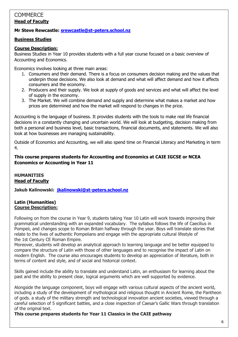#### **COMMERCE Head of Faculty**

#### **Mr Steve Rewcastle: [srewcastle@st-peters.school.nz](mailto:srewcastle@st-peters.school.nz)**

#### **Business Studies**

#### **Course Description:**

Business Studies in Year 10 provides students with a full year course focused on a basic overview of Accounting and Economics.

Economics involves looking at three main areas:

- 1. Consumers and their demand. There is a focus on consumers decision making and the values that underpin those decisions. We also look at demand and what will affect demand and how it affects consumers and the economy.
- 2. Producers and their supply. We look at supply of goods and services and what will affect the level of supply in the economy.
- 3. The Market. We will combine demand and supply and determine what makes a market and how prices are determined and how the market will respond to changes in the price.

Accounting is the language of business. It provides students with the tools to make real life financial decisions in a constantly changing and uncertain world. We will look at budgeting, decision making from both a personal and business level, basic transactions, financial documents, and statements. We will also look at how businesses are managing sustainability.

Outside of Economics and Accounting, we will also spend time on Financial Literacy and Marketing in term 4.

#### **This course prepares students for Accounting and Economics at CAIE IGCSE or NCEA Economics or Accounting in Year 11**

#### **HUMANITIES Head of Faculty**

**Jakub Kalinowski: [jkalinowski@st-peters.school.nz](mailto:jkalinowski@st-peters.school.nz)**

#### <span id="page-6-0"></span>**Latin (Humanities) Course Description:**

Following on from the course in Year 9, students taking Year 10 Latin will work towards improving their grammatical understanding with an expanded vocabulary. The syllabus follows the life of Caecilius in Pompeii, and changes scope to Roman Britain halfway through the year. Boys will translate stories that relate to the lives of authentic Pompeiians and engage with the appropriate cultural lifestyle of the 1st Century CE Roman Empire.

Moreover, students will develop an analytical approach to learning language and be better equipped to compare the structure of Latin with those of other languages and to recognise the impact of Latin on modern English. The course also encourages students to develop an appreciation of literature, both in terms of content and style, and of social and historical context.

Skills gained include the ability to translate and understand Latin, an enthusiasm for learning about the past and the ability to present clear, logical arguments which are well supported by evidence.

Alongside the language component, boys will engage with various cultural aspects of the ancient world, including a study of the development of mythological and religious thought in Ancient Rome, the Pantheon of gods. a study of the military strength and technological innovation ancient societies, viewed through a careful selection of 5 significant battles, and a close inspection of Caesar's Gallic Wars through translation of the original text.

#### **This course prepares students for Year 11 Classics in the CAIE pathway**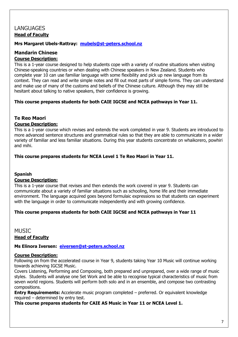## LANGUAGES **Head of Faculty**

#### **Mrs Margaret Ubels-Rattray: [mubels@st-peters.school.nz](mailto:mubels@st-peters.school.nz)**

#### <span id="page-7-0"></span>**Mandarin Chinese Course Description:**

This is a 1-year course designed to help students cope with a variety of routine situations when visiting Chinese-speaking countries or when dealing with Chinese speakers in New Zealand. Students who complete year 10 can use familiar language with some flexibility and pick up new language from its context. They can read and write simple notes and fill out most parts of simple forms. They can understand and make use of many of the customs and beliefs of the Chinese culture. Although they may still be hesitant about talking to native speakers, their confidence is growing.

#### **This course prepares students for both CAIE IGCSE and NCEA pathways in Year 11.**

#### <span id="page-7-1"></span>**Te Reo Maori**

#### **Course Description:**

This is a 1-year course which revises and extends the work completed in year 9. Students are introduced to more advanced sentence structures and grammatical rules so that they are able to communicate in a wider variety of familiar and less familiar situations. During this year students concentrate on whaikorero, powhiri and mihi.

**This course prepares students for NCEA Level 1 Te Reo Maori in Year 11.**

#### **Spanish**

#### **Course Description:**

This is a 1-year course that revises and then extends the work covered in year 9. Students can communicate about a variety of familiar situations such as schooling, home life and their immediate environment. The language acquired goes beyond formulaic expressions so that students can experiment with the language in order to communicate independently and with growing confidence.

#### **This course prepares students for both CAIE IGCSE and NCEA pathways in Year 11**

#### <span id="page-7-2"></span>**MUSIC**

#### **Head of Faculty**

#### **Ms Elinora Iversen: [eiversen@st-peters.school.nz](mailto:eiversen@st-peters.school.nz)**

#### **Course Description:**

Following on from the accelerated course in Year 9, students taking Year 10 Music will continue working towards achieving IGCSE Music.

Covers Listening, Performing and Composing, both prepared and unprepared, over a wide range of music styles. Students will analyse one Set Work and be able to recognise typical characteristics of music from seven world regions. Students will perform both solo and in an ensemble, and compose two contrasting compositions.

**Entry Requirements:** Accelerate music program completed – preferred. Or equivalent knowledge required – determined by entry test.

**This course prepares students for CAIE AS Music in Year 11 or NCEA Level 1.**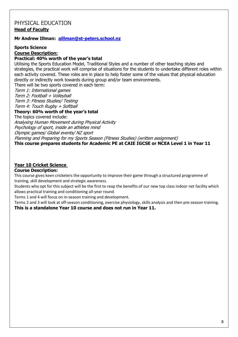#### <span id="page-8-0"></span>PHYSICAL EDUCATION **Head of Faculty**

#### **Mr Andrew Illman: [aillman@st-peters.school.nz](mailto:aillman@st-peters.school.nz)**

**Sports Science**

**Course Description:**

#### **Practical: 40% worth of the year's total**

Utilising the Sports Education Model, Traditional Styles and a number of other teaching styles and strategies, the practical work will comprise of situations for the students to undertake different roles within each activity covered. These roles are in place to help foster some of the values that physical education directly or indirectly work towards during group and/or team environments.

There will be two sports covered in each term:

Term 1: International games

Term 2: Football + Volleyball

Term 3: Fitness Studies/ Testing

Term 4: Touch Rugby + Softball

#### **Theory: 60% worth of the year's total**

The topics covered include:

Analysing Human Movement during Physical Activity

Psychology of sport, inside an athletes mind

Olympic games/ Global events/ NZ sport

Planning and Preparing for my Sports Season (Fitness Studies) (written assignment)

**This course prepares students for Academic PE at CAIE IGCSE or NCEA Level 1 in Year 11**

#### **Year 10 Cricket Science**

#### **Course Description:**

This course gives keen cricketers the opportunity to improve their game through a structured programme of training, skill development and strategic awareness.

Students who opt for this subject will be the first to reap the benefits of our new top class indoor net facility which allows practical training and conditioning all-year round.

Terms 1 and 4 will focus on in-season training and development.

Terms 2 and 3 will look at off-season conditioning, exercise physiology, skills analysis and then pre-season training. **This is a standalone Year 10 course and does not run in Year 11.**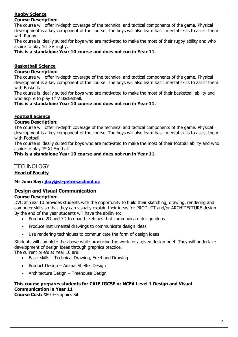#### **Rugby Science Course Description:**

The course will offer in-depth coverage of the technical and tactical components of the game. Physical development is a key component of the course. The boys will also learn basic mental skills to assist them with Ruaby.

The course is ideally suited for boys who are motivated to make the most of their rugby ability and who aspire to play 1st XV rugby.

**This is a standalone Year 10 course and does not run in Year 11.**

#### **Basketball Science**

**Course Description:**

The course will offer in-depth coverage of the technical and tactical components of the game. Physical development is a key component of the course. The boys will also learn basic mental skills to assist them with Basketball.

The course is ideally suited for boys who are motivated to make the most of their basketball ability and who aspire to play  $1<sup>st</sup>$  V Basketball.

**This is a standalone Year 10 course and does not run in Year 11.**

#### **Football Science**

#### **Course Description:**

The course will offer in-depth coverage of the technical and tactical components of the game. Physical development is a key component of the course. The boys will also learn basic mental skills to assist them with Football.

The course is ideally suited for boys who are motivated to make the most of their football ability and who aspire to play  $1<sup>st</sup>$  XI Football.

**This is a standalone Year 10 course and does not run in Year 11.**

# <span id="page-9-0"></span>**TECHNOLOGY**

**Head of Faculty**

**Mr Jono Bay: [jbay@st-peters.school.nz](mailto:jbay@st-peters.school.nz)**

#### <span id="page-9-1"></span>**Design and Visual Communication Course Description:**

DVC at Year 10 provides students with the opportunity to build their sketching, drawing, rendering and computer skills so that they can visually explain their ideas for PRODUCT and/or ARCHITECTURE design. By the end of the year students will have the ability to:

- Produce 2D and 3D freehand sketches that communicate design ideas
- Produce instrumental drawings to communicate design ideas
- Use rendering techniques to communicate the form of design ideas

Students will complete the above while producing the work for a given design brief. They will undertake development of design ideas through graphics practice.

The current briefs at Year 10 are:

- Basic skills Technical Drawing, Freehand Drawing
- Product Design Animal Shelter Design
- Architecture Design Treehouse Design

#### **This course prepares students for CAIE IGCSE or NCEA Level 1 Design and Visual Communication in Year 11**

<span id="page-9-2"></span>**Course Cost:** \$80 +Graphics Kit